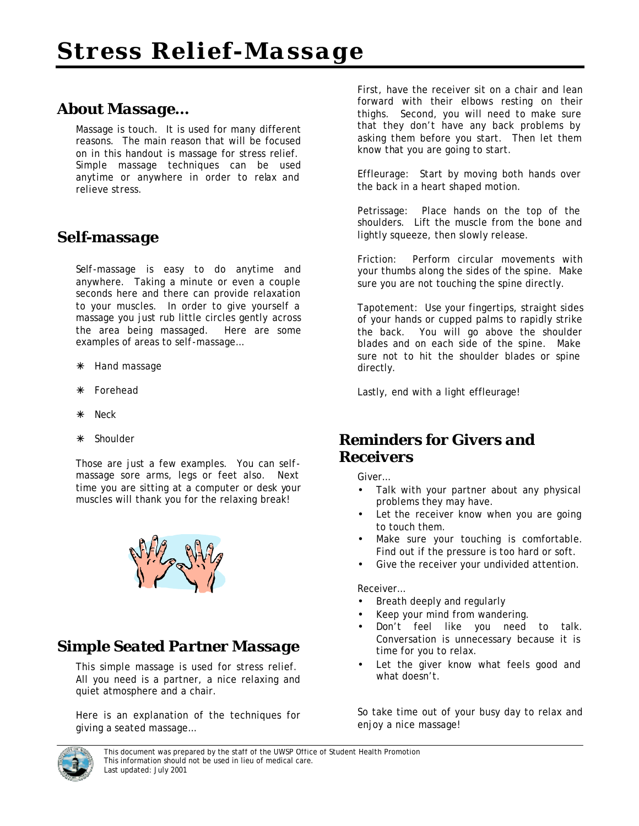## *About Massage…*

Massage is touch. It is used for many different reasons. The main reason that will be focused on in this handout is massage for stress relief. Simple massage techniques can be used anytime or anywhere in order to relax and relieve stress.

## *Self-massage*

Self-massage is easy to do anytime and anywhere. Taking a minute or even a couple seconds here and there can provide relaxation to your muscles. In order to give yourself a massage you just rub little circles gently across the area being massaged. Here are some examples of areas to self-massage…

- \* Hand massage
- · Forehead
- Neck
- · Shoulder

Those are just a few examples. You can selfmassage sore arms, legs or feet also. Next time you are sitting at a computer or desk your muscles will thank you for the relaxing break!



## *Simple Seated Partner Massage*

This simple massage is used for stress relief. All you need is a partner, a nice relaxing and quiet atmosphere and a chair.

Here is an explanation of the techniques for giving a seated massage…

First, have the receiver sit on a chair and lean forward with their elbows resting on their thighs. Second, you will need to make sure that they don't have any back problems by asking them before you start. Then let them know that you are going to start.

Effleurage: Start by moving both hands over the back in a heart shaped motion.

Petrissage: Place hands on the top of the shoulders. Lift the muscle from the bone and lightly squeeze, then slowly release.

Friction: Perform circular movements with your thumbs along the sides of the spine. Make sure you are not touching the spine directly.

Tapotement: Use your fingertips, straight sides of your hands or cupped palms to rapidly strike the back. You will go above the shoulder blades and on each side of the spine. Make sure not to hit the shoulder blades or spine directly.

Lastly, end with a light effleurage!

## *Reminders for Givers and Receivers*

Giver…

- Talk with your partner about any physical problems they may have.
- Let the receiver know when you are going to touch them.
- Make sure your touching is comfortable. Find out if the pressure is too hard or soft.
- Give the receiver your undivided attention.

Receiver…

- Breath deeply and regularly
- Keep your mind from wandering.
- Don't feel like you need to talk. Conversation is unnecessary because it is time for you to relax.
- Let the giver know what feels good and what doesn't.

So take time out of your busy day to relax and enjoy a nice massage!